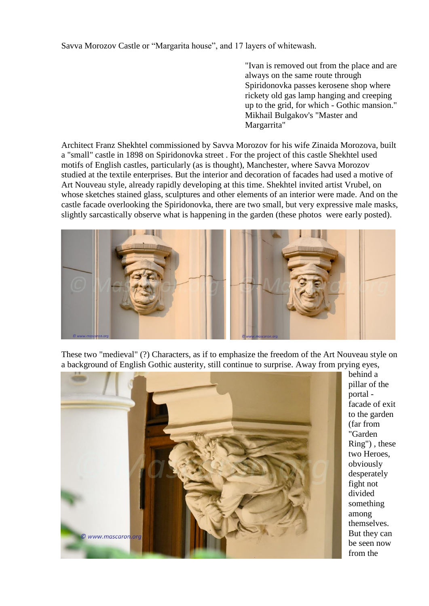Savva Morozov Castle or "Margarita house", and 17 layers of whitewash.

"Ivan is removed out from the place and are always on the same route through Spiridonovka passes kerosene shop where rickety old gas lamp hanging and creeping up to the grid, for which - Gothic mansion." Mikhail Bulgakov's "Master and Margarrita"

Architect Franz Shekhtel commissioned by Savva Morozov for his wife Zinaida Morozova, built a "small" castle in 1898 on Spiridonovka street . For the project of this castle Shekhtel used motifs of English castles, particularly (as is thought), Manchester, where Savva Morozov studied at the textile enterprises. But the interior and decoration of facades had used a motive of Art Nouveau style, already rapidly developing at this time. Shekhtel invited artist Vrubel, on whose sketches stained glass, sculptures and other elements of an interior were made. And on the castle facade overlooking the Spiridonovka, there are two small, but very expressive male masks, slightly sarcastically observe what is happening in the garden (these photos were early posted).



These two "medieval" (?) Characters, as if to emphasize the freedom of the Art Nouveau style on a background of English Gothic austerity, still continue to surprise. Away from prying eyes,



behind a pillar of the portal facade of exit to the garden (far from "Garden Ring") , these two Heroes, obviously desperately fight not divided something among themselves. But they can be seen now from the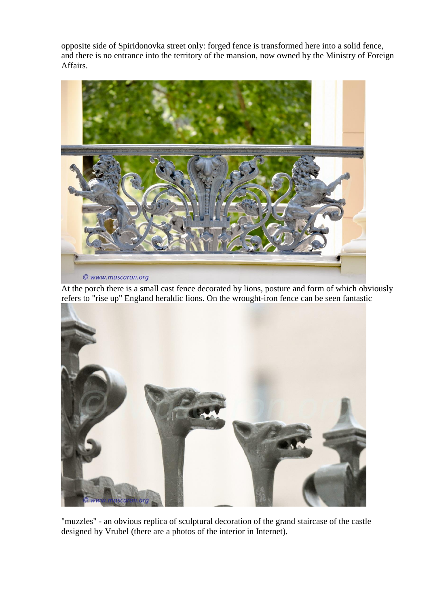opposite side of Spiridonovka street only: forged fence is transformed here into a solid fence, and there is no entrance into the territory of the mansion, now owned by the Ministry of Foreign Affairs.



At the porch there is a small cast fence decorated by lions, posture and form of which obviously refers to "rise up" England heraldic lions. On the wrought-iron fence can be seen fantastic



"muzzles" - an obvious replica of sculptural decoration of the grand staircase of the castle designed by Vrubel (there are a photos of the interior in Internet).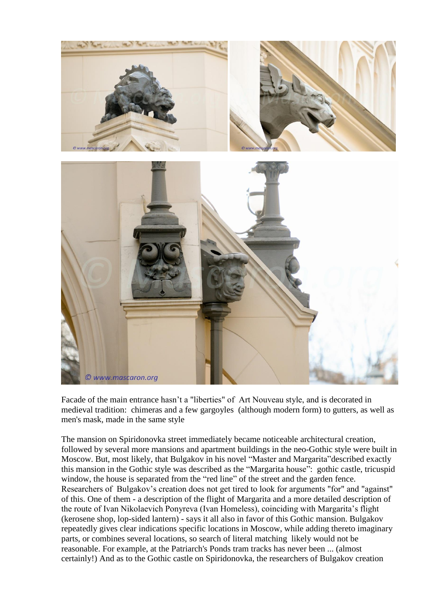

Facade of the main entrance hasn't a "liberties" of Art Nouveau style, and is decorated in medieval tradition: chimeras and a few gargoyles (although modern form) to gutters, as well as men's mask, made in the same style

The mansion on Spiridonovka street immediately became noticeable architectural creation, followed by several more mansions and apartment buildings in the neo-Gothic style were built in Moscow. But, most likely, that Bulgakov in his novel "Master and Margarita"described exactly this mansion in the Gothic style was described as the "Margarita house": gothic castle, tricuspid window, the house is separated from the "red line" of the street and the garden fence. Researchers of Bulgakov's creation does not get tired to look for arguments "for" and "against" of this. One of them - a description of the flight of Margarita and a more detailed description of the route of Ivan Nikolaevich Ponyreva (Ivan Homeless), coinciding with Margarita's flight (kerosene shop, lop-sided lantern) - says it all also in favor of this Gothic mansion. Bulgakov repeatedly gives clear indications specific locations in Moscow, while adding thereto imaginary parts, or combines several locations, so search of literal matching likely would not be reasonable. For example, at the Patriarch's Ponds tram tracks has never been ... (almost certainly!) And as to the Gothic castle on Spiridonovka, the researchers of Bulgakov creation